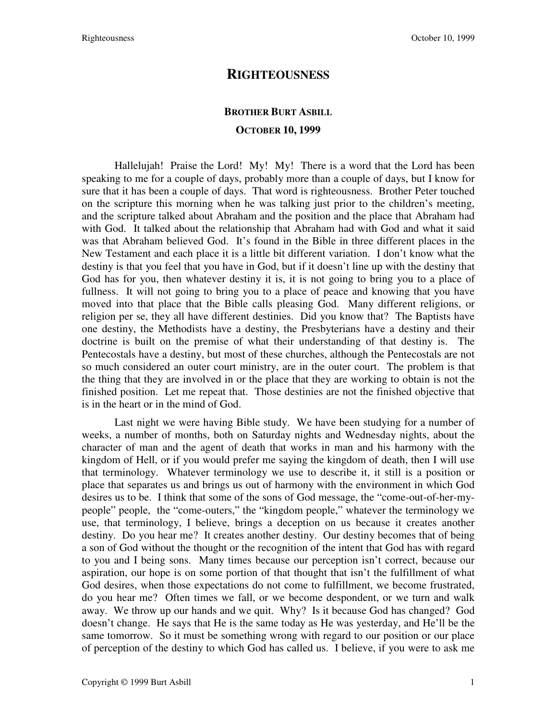## **RIGHTEOUSNESS**

## **BROTHER BURT ASBILL OCTOBER 10, 1999**

Hallelujah! Praise the Lord! My! My! There is a word that the Lord has been speaking to me for a couple of days, probably more than a couple of days, but I know for sure that it has been a couple of days. That word is righteousness. Brother Peter touched on the scripture this morning when he was talking just prior to the children's meeting, and the scripture talked about Abraham and the position and the place that Abraham had with God. It talked about the relationship that Abraham had with God and what it said was that Abraham believed God. It's found in the Bible in three different places in the New Testament and each place it is a little bit different variation. I don't know what the destiny is that you feel that you have in God, but if it doesn't line up with the destiny that God has for you, then whatever destiny it is, it is not going to bring you to a place of fullness. It will not going to bring you to a place of peace and knowing that you have moved into that place that the Bible calls pleasing God. Many different religions, or religion per se, they all have different destinies. Did you know that? The Baptists have one destiny, the Methodists have a destiny, the Presbyterians have a destiny and their doctrine is built on the premise of what their understanding of that destiny is. The Pentecostals have a destiny, but most of these churches, although the Pentecostals are not so much considered an outer court ministry, are in the outer court. The problem is that the thing that they are involved in or the place that they are working to obtain is not the finished position. Let me repeat that. Those destinies are not the finished objective that is in the heart or in the mind of God.

Last night we were having Bible study. We have been studying for a number of weeks, a number of months, both on Saturday nights and Wednesday nights, about the character of man and the agent of death that works in man and his harmony with the kingdom of Hell, or if you would prefer me saying the kingdom of death, then I will use that terminology. Whatever terminology we use to describe it, it still is a position or place that separates us and brings us out of harmony with the environment in which God desires us to be. I think that some of the sons of God message, the "come-out-of-her-mypeople" people, the "come-outers," the "kingdom people," whatever the terminology we use, that terminology, I believe, brings a deception on us because it creates another destiny. Do you hear me? It creates another destiny. Our destiny becomes that of being a son of God without the thought or the recognition of the intent that God has with regard to you and I being sons. Many times because our perception isn't correct, because our aspiration, our hope is on some portion of that thought that isn't the fulfillment of what God desires, when those expectations do not come to fulfillment, we become frustrated, do you hear me? Often times we fall, or we become despondent, or we turn and walk away. We throw up our hands and we quit. Why? Is it because God has changed? God doesn't change. He says that He is the same today as He was yesterday, and He'll be the same tomorrow. So it must be something wrong with regard to our position or our place of perception of the destiny to which God has called us. I believe, if you were to ask me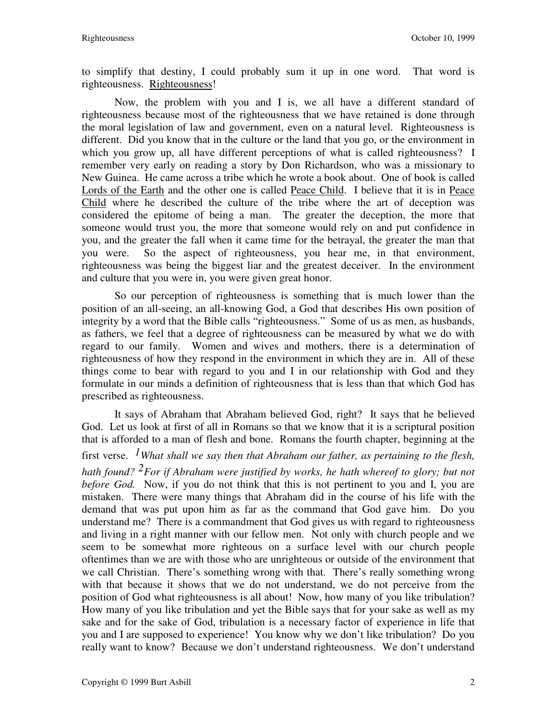to simplify that destiny, I could probably sum it up in one word. That word is righteousness. Righteousness!

Now, the problem with you and I is, we all have a different standard of righteousness because most of the righteousness that we have retained is done through the moral legislation of law and government, even on a natural level. Righteousness is different. Did you know that in the culture or the land that you go, or the environment in which you grow up, all have different perceptions of what is called righteousness? I remember very early on reading a story by Don Richardson, who was a missionary to New Guinea. He came across a tribe which he wrote a book about. One of book is called Lords of the Earth and the other one is called Peace Child. I believe that it is in Peace Child where he described the culture of the tribe where the art of deception was considered the epitome of being a man. The greater the deception, the more that someone would trust you, the more that someone would rely on and put confidence in you, and the greater the fall when it came time for the betrayal, the greater the man that you were. So the aspect of righteousness, you hear me, in that environment, righteousness was being the biggest liar and the greatest deceiver. In the environment and culture that you were in, you were given great honor.

So our perception of righteousness is something that is much lower than the position of an all-seeing, an all-knowing God, a God that describes His own position of integrity by a word that the Bible calls "righteousness." Some of us as men, as husbands, as fathers, we feel that a degree of righteousness can be measured by what we do with regard to our family. Women and wives and mothers, there is a determination of righteousness of how they respond in the environment in which they are in. All of these things come to bear with regard to you and I in our relationship with God and they formulate in our minds a definition of righteousness that is less than that which God has prescribed as righteousness.

It says of Abraham that Abraham believed God, right? It says that he believed God. Let us look at first of all in Romans so that we know that it is a scriptural position that is afforded to a man of flesh and bone. Romans the fourth chapter, beginning at the first verse. *1What shall we say then that Abraham our father, as pertaining to the flesh, hath found? 2For if Abraham were justified by works, he hath whereof to glory; but not before God.* Now, if you do not think that this is not pertinent to you and I, you are mistaken. There were many things that Abraham did in the course of his life with the demand that was put upon him as far as the command that God gave him. Do you understand me? There is a commandment that God gives us with regard to righteousness and living in a right manner with our fellow men. Not only with church people and we seem to be somewhat more righteous on a surface level with our church people oftentimes than we are with those who are unrighteous or outside of the environment that we call Christian. There's something wrong with that. There's really something wrong with that because it shows that we do not understand, we do not perceive from the position of God what righteousness is all about! Now, how many of you like tribulation? How many of you like tribulation and yet the Bible says that for your sake as well as my sake and for the sake of God, tribulation is a necessary factor of experience in life that you and I are supposed to experience! You know why we don't like tribulation? Do you really want to know? Because we don't understand righteousness. We don't understand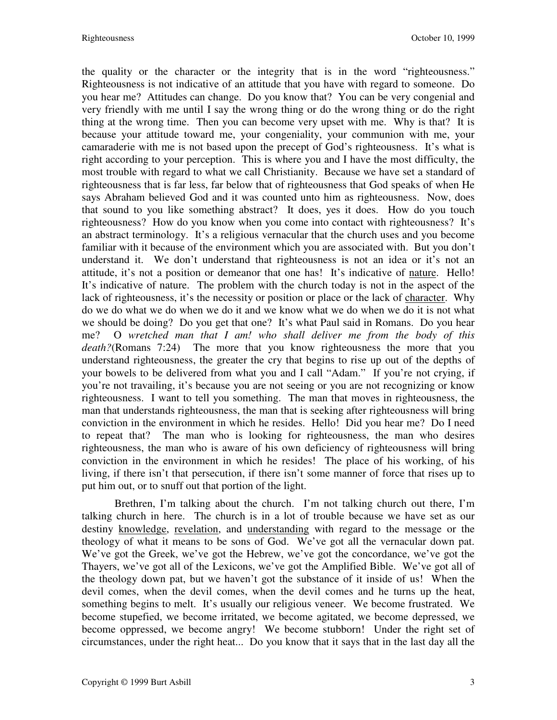the quality or the character or the integrity that is in the word "righteousness." Righteousness is not indicative of an attitude that you have with regard to someone. Do you hear me? Attitudes can change. Do you know that? You can be very congenial and very friendly with me until I say the wrong thing or do the wrong thing or do the right thing at the wrong time. Then you can become very upset with me. Why is that? It is because your attitude toward me, your congeniality, your communion with me, your camaraderie with me is not based upon the precept of God's righteousness. It's what is right according to your perception. This is where you and I have the most difficulty, the most trouble with regard to what we call Christianity. Because we have set a standard of righteousness that is far less, far below that of righteousness that God speaks of when He says Abraham believed God and it was counted unto him as righteousness. Now, does that sound to you like something abstract? It does, yes it does. How do you touch righteousness? How do you know when you come into contact with righteousness? It's an abstract terminology. It's a religious vernacular that the church uses and you become familiar with it because of the environment which you are associated with. But you don't understand it. We don't understand that righteousness is not an idea or it's not an attitude, it's not a position or demeanor that one has! It's indicative of nature. Hello! It's indicative of nature. The problem with the church today is not in the aspect of the lack of righteousness, it's the necessity or position or place or the lack of character. Why do we do what we do when we do it and we know what we do when we do it is not what we should be doing? Do you get that one? It's what Paul said in Romans. Do you hear me? O *wretched man that I am! who shall deliver me from the body of this death?*(Romans 7:24) The more that you know righteousness the more that you understand righteousness, the greater the cry that begins to rise up out of the depths of your bowels to be delivered from what you and I call "Adam." If you're not crying, if you're not travailing, it's because you are not seeing or you are not recognizing or know righteousness. I want to tell you something. The man that moves in righteousness, the man that understands righteousness, the man that is seeking after righteousness will bring conviction in the environment in which he resides. Hello! Did you hear me? Do I need to repeat that? The man who is looking for righteousness, the man who desires righteousness, the man who is aware of his own deficiency of righteousness will bring conviction in the environment in which he resides! The place of his working, of his living, if there isn't that persecution, if there isn't some manner of force that rises up to put him out, or to snuff out that portion of the light.

Brethren, I'm talking about the church. I'm not talking church out there, I'm talking church in here. The church is in a lot of trouble because we have set as our destiny knowledge, revelation, and understanding with regard to the message or the theology of what it means to be sons of God. We've got all the vernacular down pat. We've got the Greek, we've got the Hebrew, we've got the concordance, we've got the Thayers, we've got all of the Lexicons, we've got the Amplified Bible. We've got all of the theology down pat, but we haven't got the substance of it inside of us! When the devil comes, when the devil comes, when the devil comes and he turns up the heat, something begins to melt. It's usually our religious veneer. We become frustrated. We become stupefied, we become irritated, we become agitated, we become depressed, we become oppressed, we become angry! We become stubborn! Under the right set of circumstances, under the right heat... Do you know that it says that in the last day all the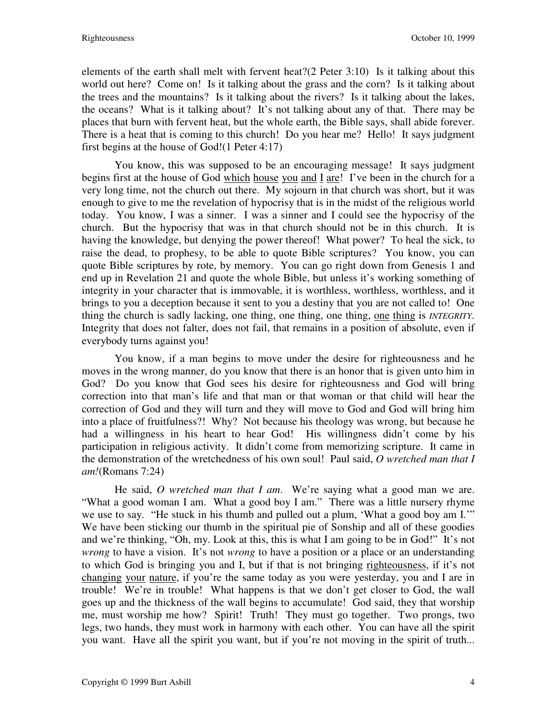elements of the earth shall melt with fervent heat?(2 Peter 3:10) Is it talking about this world out here? Come on! Is it talking about the grass and the corn? Is it talking about the trees and the mountains? Is it talking about the rivers? Is it talking about the lakes, the oceans? What is it talking about? It's not talking about any of that. There may be places that burn with fervent heat, but the whole earth, the Bible says, shall abide forever. There is a heat that is coming to this church! Do you hear me? Hello! It says judgment first begins at the house of God!(1 Peter 4:17)

You know, this was supposed to be an encouraging message! It says judgment begins first at the house of God which house you and I are! I've been in the church for a very long time, not the church out there. My sojourn in that church was short, but it was enough to give to me the revelation of hypocrisy that is in the midst of the religious world today. You know, I was a sinner. I was a sinner and I could see the hypocrisy of the church. But the hypocrisy that was in that church should not be in this church. It is having the knowledge, but denying the power thereof! What power? To heal the sick, to raise the dead, to prophesy, to be able to quote Bible scriptures? You know, you can quote Bible scriptures by rote, by memory. You can go right down from Genesis 1 and end up in Revelation 21 and quote the whole Bible, but unless it's working something of integrity in your character that is immovable, it is worthless, worthless, worthless, and it brings to you a deception because it sent to you a destiny that you are not called to! One thing the church is sadly lacking, one thing, one thing, one thing, one thing is *INTEGRITY*. Integrity that does not falter, does not fail, that remains in a position of absolute, even if everybody turns against you!

You know, if a man begins to move under the desire for righteousness and he moves in the wrong manner, do you know that there is an honor that is given unto him in God? Do you know that God sees his desire for righteousness and God will bring correction into that man's life and that man or that woman or that child will hear the correction of God and they will turn and they will move to God and God will bring him into a place of fruitfulness?! Why? Not because his theology was wrong, but because he had a willingness in his heart to hear God! His willingness didn't come by his participation in religious activity. It didn't come from memorizing scripture. It came in the demonstration of the wretchedness of his own soul! Paul said, *O wretched man that I am!*(Romans 7:24)

He said, *O wretched man that I am*. We're saying what a good man we are. "What a good woman I am. What a good boy I am." There was a little nursery rhyme we use to say. "He stuck in his thumb and pulled out a plum, 'What a good boy am I.'" We have been sticking our thumb in the spiritual pie of Sonship and all of these goodies and we're thinking, "Oh, my. Look at this, this is what I am going to be in God!" It's not *wrong* to have a vision. It's not *wrong* to have a position or a place or an understanding to which God is bringing you and I, but if that is not bringing righteousness, if it's not changing your nature, if you're the same today as you were yesterday, you and I are in trouble! We're in trouble! What happens is that we don't get closer to God, the wall goes up and the thickness of the wall begins to accumulate! God said, they that worship me, must worship me how? Spirit! Truth! They must go together. Two prongs, two legs, two hands, they must work in harmony with each other. You can have all the spirit you want. Have all the spirit you want, but if you're not moving in the spirit of truth...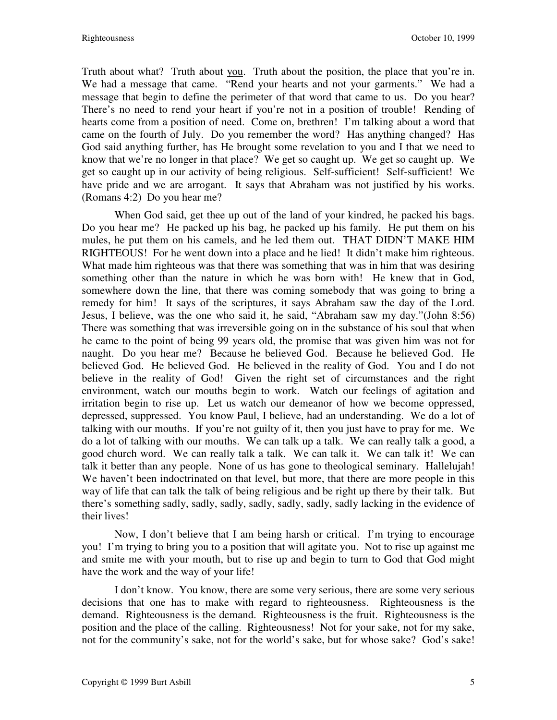Truth about what? Truth about you. Truth about the position, the place that you're in. We had a message that came. "Rend your hearts and not your garments." We had a message that begin to define the perimeter of that word that came to us. Do you hear? There's no need to rend your heart if you're not in a position of trouble! Rending of hearts come from a position of need. Come on, brethren! I'm talking about a word that came on the fourth of July. Do you remember the word? Has anything changed? Has God said anything further, has He brought some revelation to you and I that we need to know that we're no longer in that place? We get so caught up. We get so caught up. We get so caught up in our activity of being religious. Self-sufficient! Self-sufficient! We have pride and we are arrogant. It says that Abraham was not justified by his works. (Romans 4:2) Do you hear me?

When God said, get thee up out of the land of your kindred, he packed his bags. Do you hear me? He packed up his bag, he packed up his family. He put them on his mules, he put them on his camels, and he led them out. THAT DIDN'T MAKE HIM RIGHTEOUS! For he went down into a place and he lied! It didn't make him righteous. What made him righteous was that there was something that was in him that was desiring something other than the nature in which he was born with! He knew that in God, somewhere down the line, that there was coming somebody that was going to bring a remedy for him! It says of the scriptures, it says Abraham saw the day of the Lord. Jesus, I believe, was the one who said it, he said, "Abraham saw my day."(John 8:56) There was something that was irreversible going on in the substance of his soul that when he came to the point of being 99 years old, the promise that was given him was not for naught. Do you hear me? Because he believed God. Because he believed God. He believed God. He believed God. He believed in the reality of God. You and I do not believe in the reality of God! Given the right set of circumstances and the right environment, watch our mouths begin to work. Watch our feelings of agitation and irritation begin to rise up. Let us watch our demeanor of how we become oppressed, depressed, suppressed. You know Paul, I believe, had an understanding. We do a lot of talking with our mouths. If you're not guilty of it, then you just have to pray for me. We do a lot of talking with our mouths. We can talk up a talk. We can really talk a good, a good church word. We can really talk a talk. We can talk it. We can talk it! We can talk it better than any people. None of us has gone to theological seminary. Hallelujah! We haven't been indoctrinated on that level, but more, that there are more people in this way of life that can talk the talk of being religious and be right up there by their talk. But there's something sadly, sadly, sadly, sadly, sadly, sadly, sadly lacking in the evidence of their lives!

Now, I don't believe that I am being harsh or critical. I'm trying to encourage you! I'm trying to bring you to a position that will agitate you. Not to rise up against me and smite me with your mouth, but to rise up and begin to turn to God that God might have the work and the way of your life!

I don't know. You know, there are some very serious, there are some very serious decisions that one has to make with regard to righteousness. Righteousness is the demand. Righteousness is the demand. Righteousness is the fruit. Righteousness is the position and the place of the calling. Righteousness! Not for your sake, not for my sake, not for the community's sake, not for the world's sake, but for whose sake? God's sake!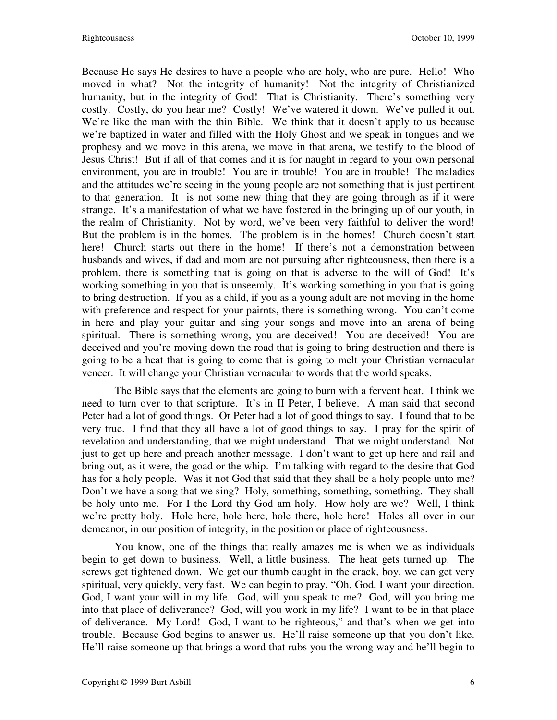Because He says He desires to have a people who are holy, who are pure. Hello! Who moved in what? Not the integrity of humanity! Not the integrity of Christianized humanity, but in the integrity of God! That is Christianity. There's something very costly. Costly, do you hear me? Costly! We've watered it down. We've pulled it out. We're like the man with the thin Bible. We think that it doesn't apply to us because we're baptized in water and filled with the Holy Ghost and we speak in tongues and we prophesy and we move in this arena, we move in that arena, we testify to the blood of Jesus Christ! But if all of that comes and it is for naught in regard to your own personal environment, you are in trouble! You are in trouble! You are in trouble! The maladies and the attitudes we're seeing in the young people are not something that is just pertinent to that generation. It is not some new thing that they are going through as if it were strange. It's a manifestation of what we have fostered in the bringing up of our youth, in the realm of Christianity. Not by word, we've been very faithful to deliver the word! But the problem is in the homes. The problem is in the homes! Church doesn't start here! Church starts out there in the home! If there's not a demonstration between husbands and wives, if dad and mom are not pursuing after righteousness, then there is a problem, there is something that is going on that is adverse to the will of God! It's working something in you that is unseemly. It's working something in you that is going to bring destruction. If you as a child, if you as a young adult are not moving in the home with preference and respect for your pairnts, there is something wrong. You can't come in here and play your guitar and sing your songs and move into an arena of being spiritual. There is something wrong, you are deceived! You are deceived! You are deceived and you're moving down the road that is going to bring destruction and there is going to be a heat that is going to come that is going to melt your Christian vernacular veneer. It will change your Christian vernacular to words that the world speaks.

The Bible says that the elements are going to burn with a fervent heat. I think we need to turn over to that scripture. It's in II Peter, I believe. A man said that second Peter had a lot of good things. Or Peter had a lot of good things to say. I found that to be very true. I find that they all have a lot of good things to say. I pray for the spirit of revelation and understanding, that we might understand. That we might understand. Not just to get up here and preach another message. I don't want to get up here and rail and bring out, as it were, the goad or the whip. I'm talking with regard to the desire that God has for a holy people. Was it not God that said that they shall be a holy people unto me? Don't we have a song that we sing? Holy, something, something, something. They shall be holy unto me. For I the Lord thy God am holy. How holy are we? Well, I think we're pretty holy. Hole here, hole here, hole there, hole here! Holes all over in our demeanor, in our position of integrity, in the position or place of righteousness.

You know, one of the things that really amazes me is when we as individuals begin to get down to business. Well, a little business. The heat gets turned up. The screws get tightened down. We get our thumb caught in the crack, boy, we can get very spiritual, very quickly, very fast. We can begin to pray, "Oh, God, I want your direction. God, I want your will in my life. God, will you speak to me? God, will you bring me into that place of deliverance? God, will you work in my life? I want to be in that place of deliverance. My Lord! God, I want to be righteous," and that's when we get into trouble. Because God begins to answer us. He'll raise someone up that you don't like. He'll raise someone up that brings a word that rubs you the wrong way and he'll begin to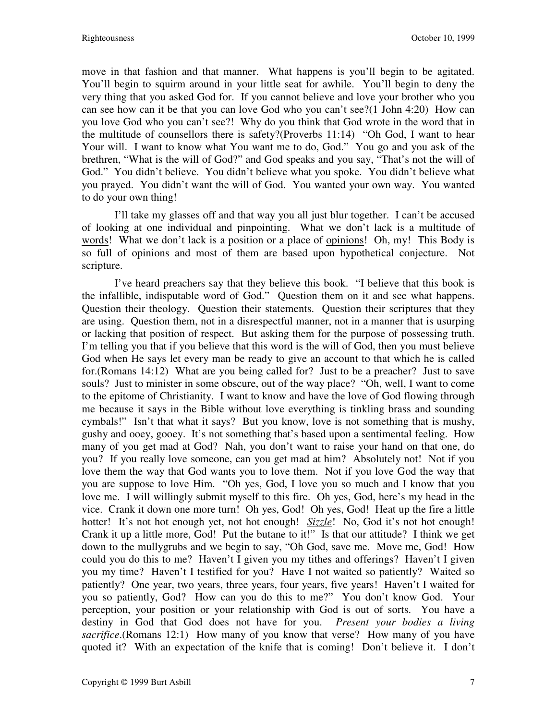move in that fashion and that manner. What happens is you'll begin to be agitated. You'll begin to squirm around in your little seat for awhile. You'll begin to deny the very thing that you asked God for. If you cannot believe and love your brother who you can see how can it be that you can love God who you can't see?(1 John 4:20) How can you love God who you can't see?! Why do you think that God wrote in the word that in the multitude of counsellors there is safety?(Proverbs 11:14) "Oh God, I want to hear Your will. I want to know what You want me to do, God." You go and you ask of the brethren, "What is the will of God?" and God speaks and you say, "That's not the will of God." You didn't believe. You didn't believe what you spoke. You didn't believe what you prayed. You didn't want the will of God. You wanted your own way. You wanted to do your own thing!

I'll take my glasses off and that way you all just blur together. I can't be accused of looking at one individual and pinpointing. What we don't lack is a multitude of words! What we don't lack is a position or a place of opinions! Oh, my! This Body is so full of opinions and most of them are based upon hypothetical conjecture. Not scripture.

I've heard preachers say that they believe this book. "I believe that this book is the infallible, indisputable word of God." Question them on it and see what happens. Question their theology. Question their statements. Question their scriptures that they are using. Question them, not in a disrespectful manner, not in a manner that is usurping or lacking that position of respect. But asking them for the purpose of possessing truth. I'm telling you that if you believe that this word is the will of God, then you must believe God when He says let every man be ready to give an account to that which he is called for.(Romans 14:12) What are you being called for? Just to be a preacher? Just to save souls? Just to minister in some obscure, out of the way place? "Oh, well, I want to come to the epitome of Christianity. I want to know and have the love of God flowing through me because it says in the Bible without love everything is tinkling brass and sounding cymbals!" Isn't that what it says? But you know, love is not something that is mushy, gushy and ooey, gooey. It's not something that's based upon a sentimental feeling. How many of you get mad at God? Nah, you don't want to raise your hand on that one, do you? If you really love someone, can you get mad at him? Absolutely not! Not if you love them the way that God wants you to love them. Not if you love God the way that you are suppose to love Him. "Oh yes, God, I love you so much and I know that you love me. I will willingly submit myself to this fire. Oh yes, God, here's my head in the vice. Crank it down one more turn! Oh yes, God! Oh yes, God! Heat up the fire a little hotter! It's not hot enough yet, not hot enough! *Sizzle*! No, God it's not hot enough! Crank it up a little more, God! Put the butane to it!" Is that our attitude? I think we get down to the mullygrubs and we begin to say, "Oh God, save me. Move me, God! How could you do this to me? Haven't I given you my tithes and offerings? Haven't I given you my time? Haven't I testified for you? Have I not waited so patiently? Waited so patiently? One year, two years, three years, four years, five years! Haven't I waited for you so patiently, God? How can you do this to me?" You don't know God. Your perception, your position or your relationship with God is out of sorts. You have a destiny in God that God does not have for you. *Present your bodies a living sacrifice*.(Romans 12:1) How many of you know that verse? How many of you have quoted it? With an expectation of the knife that is coming! Don't believe it. I don't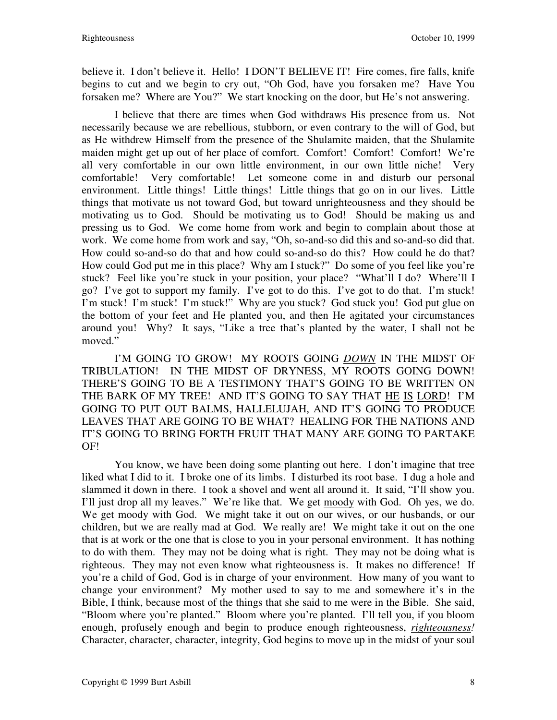believe it. I don't believe it. Hello! I DON'T BELIEVE IT! Fire comes, fire falls, knife begins to cut and we begin to cry out, "Oh God, have you forsaken me? Have You forsaken me? Where are You?" We start knocking on the door, but He's not answering.

I believe that there are times when God withdraws His presence from us. Not necessarily because we are rebellious, stubborn, or even contrary to the will of God, but as He withdrew Himself from the presence of the Shulamite maiden, that the Shulamite maiden might get up out of her place of comfort. Comfort! Comfort! Comfort! We're all very comfortable in our own little environment, in our own little niche! Very comfortable! Very comfortable! Let someone come in and disturb our personal environment. Little things! Little things! Little things that go on in our lives. Little things that motivate us not toward God, but toward unrighteousness and they should be motivating us to God. Should be motivating us to God! Should be making us and pressing us to God. We come home from work and begin to complain about those at work. We come home from work and say, "Oh, so-and-so did this and so-and-so did that. How could so-and-so do that and how could so-and-so do this? How could he do that? How could God put me in this place? Why am I stuck?" Do some of you feel like you're stuck? Feel like you're stuck in your position, your place? "What'll I do? Where'll I go? I've got to support my family. I've got to do this. I've got to do that. I'm stuck! I'm stuck! I'm stuck! I'm stuck!" Why are you stuck? God stuck you! God put glue on the bottom of your feet and He planted you, and then He agitated your circumstances around you! Why? It says, "Like a tree that's planted by the water, I shall not be moved."

I'M GOING TO GROW! MY ROOTS GOING *DOWN* IN THE MIDST OF TRIBULATION! IN THE MIDST OF DRYNESS, MY ROOTS GOING DOWN! THERE'S GOING TO BE A TESTIMONY THAT'S GOING TO BE WRITTEN ON THE BARK OF MY TREE! AND IT'S GOING TO SAY THAT HE IS LORD! I'M GOING TO PUT OUT BALMS, HALLELUJAH, AND IT'S GOING TO PRODUCE LEAVES THAT ARE GOING TO BE WHAT? HEALING FOR THE NATIONS AND IT'S GOING TO BRING FORTH FRUIT THAT MANY ARE GOING TO PARTAKE OF!

You know, we have been doing some planting out here. I don't imagine that tree liked what I did to it. I broke one of its limbs. I disturbed its root base. I dug a hole and slammed it down in there. I took a shovel and went all around it. It said, "I'll show you. I'll just drop all my leaves." We're like that. We get moody with God. Oh yes, we do. We get moody with God. We might take it out on our wives, or our husbands, or our children, but we are really mad at God. We really are! We might take it out on the one that is at work or the one that is close to you in your personal environment. It has nothing to do with them. They may not be doing what is right. They may not be doing what is righteous. They may not even know what righteousness is. It makes no difference! If you're a child of God, God is in charge of your environment. How many of you want to change your environment? My mother used to say to me and somewhere it's in the Bible, I think, because most of the things that she said to me were in the Bible. She said, "Bloom where you're planted." Bloom where you're planted. I'll tell you, if you bloom enough, profusely enough and begin to produce enough righteousness, *righteousness!*  Character, character, character, integrity, God begins to move up in the midst of your soul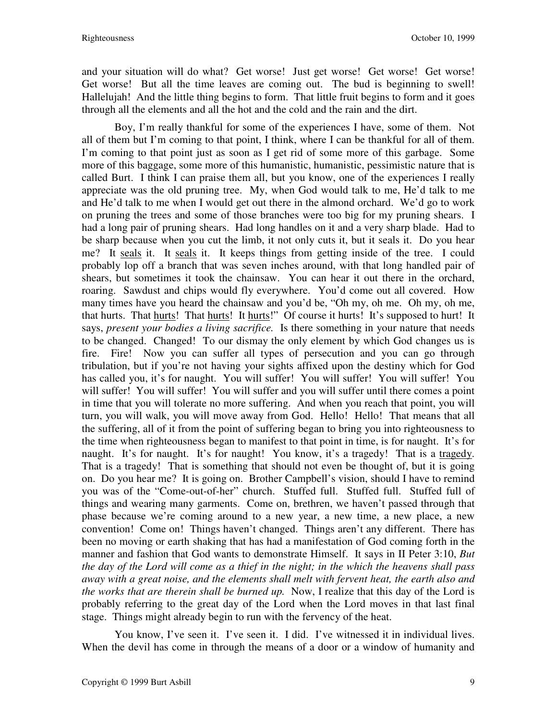and your situation will do what? Get worse! Just get worse! Get worse! Get worse! Get worse! But all the time leaves are coming out. The bud is beginning to swell! Hallelujah! And the little thing begins to form. That little fruit begins to form and it goes through all the elements and all the hot and the cold and the rain and the dirt.

Boy, I'm really thankful for some of the experiences I have, some of them. Not all of them but I'm coming to that point, I think, where I can be thankful for all of them. I'm coming to that point just as soon as I get rid of some more of this garbage. Some more of this baggage, some more of this humanistic, humanistic, pessimistic nature that is called Burt. I think I can praise them all, but you know, one of the experiences I really appreciate was the old pruning tree. My, when God would talk to me, He'd talk to me and He'd talk to me when I would get out there in the almond orchard. We'd go to work on pruning the trees and some of those branches were too big for my pruning shears. I had a long pair of pruning shears. Had long handles on it and a very sharp blade. Had to be sharp because when you cut the limb, it not only cuts it, but it seals it. Do you hear me? It seals it. It seals it. It keeps things from getting inside of the tree. I could probably lop off a branch that was seven inches around, with that long handled pair of shears, but sometimes it took the chainsaw. You can hear it out there in the orchard, roaring. Sawdust and chips would fly everywhere. You'd come out all covered. How many times have you heard the chainsaw and you'd be, "Oh my, oh me. Oh my, oh me, that hurts. That hurts! That hurts! It hurts!" Of course it hurts! It's supposed to hurt! It says, *present your bodies a living sacrifice.* Is there something in your nature that needs to be changed. Changed! To our dismay the only element by which God changes us is fire. Fire! Now you can suffer all types of persecution and you can go through tribulation, but if you're not having your sights affixed upon the destiny which for God has called you, it's for naught. You will suffer! You will suffer! You will suffer! You will suffer! You will suffer! You will suffer and you will suffer until there comes a point in time that you will tolerate no more suffering. And when you reach that point, you will turn, you will walk, you will move away from God. Hello! Hello! That means that all the suffering, all of it from the point of suffering began to bring you into righteousness to the time when righteousness began to manifest to that point in time, is for naught. It's for naught. It's for naught. It's for naught! You know, it's a tragedy! That is a tragedy. That is a tragedy! That is something that should not even be thought of, but it is going on. Do you hear me? It is going on. Brother Campbell's vision, should I have to remind you was of the "Come-out-of-her" church. Stuffed full. Stuffed full. Stuffed full of things and wearing many garments. Come on, brethren, we haven't passed through that phase because we're coming around to a new year, a new time, a new place, a new convention! Come on! Things haven't changed. Things aren't any different. There has been no moving or earth shaking that has had a manifestation of God coming forth in the manner and fashion that God wants to demonstrate Himself. It says in II Peter 3:10, *But the day of the Lord will come as a thief in the night; in the which the heavens shall pass away with a great noise, and the elements shall melt with fervent heat, the earth also and the works that are therein shall be burned up.* Now, I realize that this day of the Lord is probably referring to the great day of the Lord when the Lord moves in that last final stage. Things might already begin to run with the fervency of the heat.

You know, I've seen it. I've seen it. I did. I've witnessed it in individual lives. When the devil has come in through the means of a door or a window of humanity and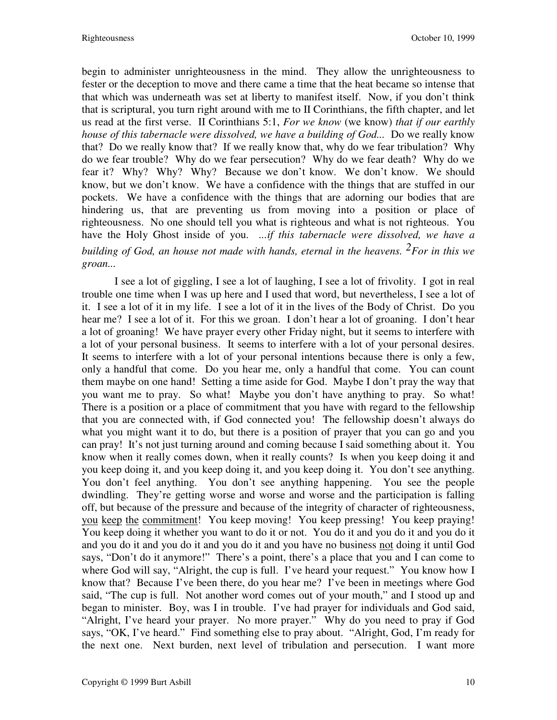begin to administer unrighteousness in the mind. They allow the unrighteousness to fester or the deception to move and there came a time that the heat became so intense that that which was underneath was set at liberty to manifest itself. Now, if you don't think that is scriptural, you turn right around with me to II Corinthians, the fifth chapter, and let us read at the first verse. II Corinthians 5:1, *For we know* (we know) *that if our earthly house of this tabernacle were dissolved, we have a building of God...* Do we really know that? Do we really know that? If we really know that, why do we fear tribulation? Why do we fear trouble? Why do we fear persecution? Why do we fear death? Why do we fear it? Why? Why? Why? Because we don't know. We don't know. We should know, but we don't know. We have a confidence with the things that are stuffed in our pockets. We have a confidence with the things that are adorning our bodies that are hindering us, that are preventing us from moving into a position or place of righteousness. No one should tell you what is righteous and what is not righteous. You have the Holy Ghost inside of you. *...if this tabernacle were dissolved, we have a building of God, an house not made with hands, eternal in the heavens. 2For in this we groan...*

I see a lot of giggling, I see a lot of laughing, I see a lot of frivolity. I got in real trouble one time when I was up here and I used that word, but nevertheless, I see a lot of it. I see a lot of it in my life. I see a lot of it in the lives of the Body of Christ. Do you hear me? I see a lot of it. For this we groan. I don't hear a lot of groaning. I don't hear a lot of groaning! We have prayer every other Friday night, but it seems to interfere with a lot of your personal business. It seems to interfere with a lot of your personal desires. It seems to interfere with a lot of your personal intentions because there is only a few, only a handful that come. Do you hear me, only a handful that come. You can count them maybe on one hand! Setting a time aside for God. Maybe I don't pray the way that you want me to pray. So what! Maybe you don't have anything to pray. So what! There is a position or a place of commitment that you have with regard to the fellowship that you are connected with, if God connected you! The fellowship doesn't always do what you might want it to do, but there is a position of prayer that you can go and you can pray! It's not just turning around and coming because I said something about it. You know when it really comes down, when it really counts? Is when you keep doing it and you keep doing it, and you keep doing it, and you keep doing it. You don't see anything. You don't feel anything. You don't see anything happening. You see the people dwindling. They're getting worse and worse and worse and the participation is falling off, but because of the pressure and because of the integrity of character of righteousness, you keep the commitment! You keep moving! You keep pressing! You keep praying! You keep doing it whether you want to do it or not. You do it and you do it and you do it and you do it and you do it and you do it and you have no business not doing it until God says, "Don't do it anymore!" There's a point, there's a place that you and I can come to where God will say, "Alright, the cup is full. I've heard your request." You know how I know that? Because I've been there, do you hear me? I've been in meetings where God said, "The cup is full. Not another word comes out of your mouth," and I stood up and began to minister. Boy, was I in trouble. I've had prayer for individuals and God said, "Alright, I've heard your prayer. No more prayer." Why do you need to pray if God says, "OK, I've heard." Find something else to pray about. "Alright, God, I'm ready for the next one. Next burden, next level of tribulation and persecution. I want more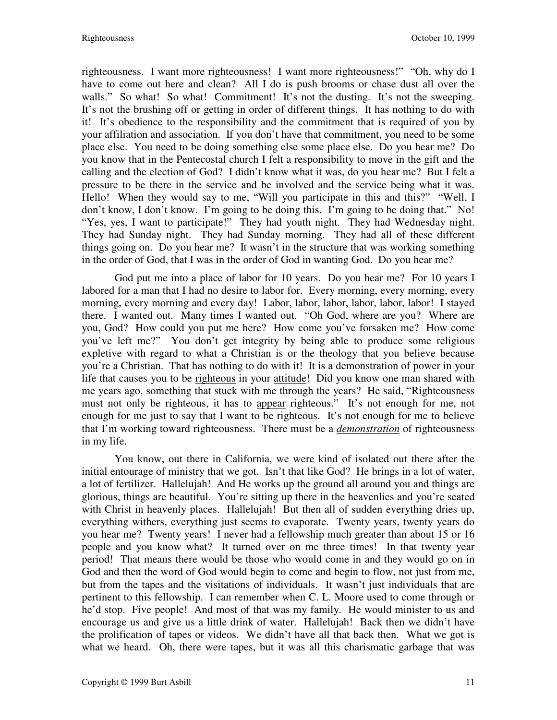righteousness. I want more righteousness! I want more righteousness!" "Oh, why do I have to come out here and clean? All I do is push brooms or chase dust all over the walls." So what! So what! Commitment! It's not the dusting. It's not the sweeping. It's not the brushing off or getting in order of different things. It has nothing to do with it! It's obedience to the responsibility and the commitment that is required of you by your affiliation and association. If you don't have that commitment, you need to be some place else. You need to be doing something else some place else. Do you hear me? Do you know that in the Pentecostal church I felt a responsibility to move in the gift and the calling and the election of God? I didn't know what it was, do you hear me? But I felt a pressure to be there in the service and be involved and the service being what it was. Hello! When they would say to me, "Will you participate in this and this?" "Well, I don't know, I don't know. I'm going to be doing this. I'm going to be doing that." No! "Yes, yes, I want to participate!" They had youth night. They had Wednesday night. They had Sunday night. They had Sunday morning. They had all of these different things going on. Do you hear me? It wasn't in the structure that was working something in the order of God, that I was in the order of God in wanting God. Do you hear me?

God put me into a place of labor for 10 years. Do you hear me? For 10 years I labored for a man that I had no desire to labor for. Every morning, every morning, every morning, every morning and every day! Labor, labor, labor, labor, labor, labor! I stayed there. I wanted out. Many times I wanted out. "Oh God, where are you? Where are you, God? How could you put me here? How come you've forsaken me? How come you've left me?" You don't get integrity by being able to produce some religious expletive with regard to what a Christian is or the theology that you believe because you're a Christian. That has nothing to do with it! It is a demonstration of power in your life that causes you to be righteous in your attitude! Did you know one man shared with me years ago, something that stuck with me through the years? He said, "Righteousness must not only be righteous, it has to appear righteous." It's not enough for me, not enough for me just to say that I want to be righteous. It's not enough for me to believe that I'm working toward righteousness. There must be a *demonstration* of righteousness in my life.

You know, out there in California, we were kind of isolated out there after the initial entourage of ministry that we got. Isn't that like God? He brings in a lot of water, a lot of fertilizer. Hallelujah! And He works up the ground all around you and things are glorious, things are beautiful. You're sitting up there in the heavenlies and you're seated with Christ in heavenly places. Hallelujah! But then all of sudden everything dries up, everything withers, everything just seems to evaporate. Twenty years, twenty years do you hear me? Twenty years! I never had a fellowship much greater than about 15 or 16 people and you know what? It turned over on me three times! In that twenty year period! That means there would be those who would come in and they would go on in God and then the word of God would begin to come and begin to flow, not just from me, but from the tapes and the visitations of individuals. It wasn't just individuals that are pertinent to this fellowship. I can remember when C. L. Moore used to come through or he'd stop. Five people! And most of that was my family. He would minister to us and encourage us and give us a little drink of water. Hallelujah! Back then we didn't have the prolification of tapes or videos. We didn't have all that back then. What we got is what we heard. Oh, there were tapes, but it was all this charismatic garbage that was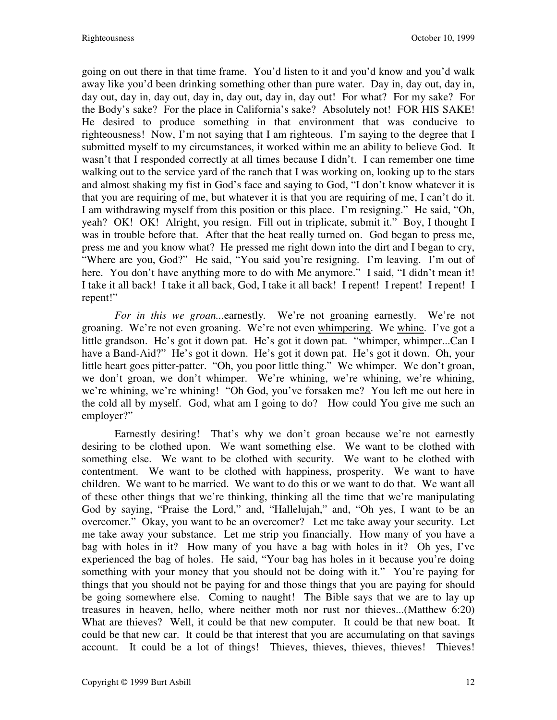going on out there in that time frame. You'd listen to it and you'd know and you'd walk away like you'd been drinking something other than pure water. Day in, day out, day in, day out, day in, day out, day in, day out, day in, day out! For what? For my sake? For the Body's sake? For the place in California's sake? Absolutely not! FOR HIS SAKE! He desired to produce something in that environment that was conducive to righteousness! Now, I'm not saying that I am righteous. I'm saying to the degree that I submitted myself to my circumstances, it worked within me an ability to believe God. It wasn't that I responded correctly at all times because I didn't. I can remember one time walking out to the service yard of the ranch that I was working on, looking up to the stars and almost shaking my fist in God's face and saying to God, "I don't know whatever it is that you are requiring of me, but whatever it is that you are requiring of me, I can't do it. I am withdrawing myself from this position or this place. I'm resigning." He said, "Oh, yeah? OK! OK! Alright, you resign. Fill out in triplicate, submit it." Boy, I thought I was in trouble before that. After that the heat really turned on. God began to press me, press me and you know what? He pressed me right down into the dirt and I began to cry, "Where are you, God?" He said, "You said you're resigning. I'm leaving. I'm out of here. You don't have anything more to do with Me anymore." I said, "I didn't mean it! I take it all back! I take it all back, God, I take it all back! I repent! I repent! I repent! I repent!"

*For in this we groan...*earnestly*.* We're not groaning earnestly. We're not groaning. We're not even groaning. We're not even whimpering. We whine. I've got a little grandson. He's got it down pat. He's got it down pat. "whimper, whimper...Can I have a Band-Aid?" He's got it down. He's got it down pat. He's got it down. Oh, your little heart goes pitter-patter. "Oh, you poor little thing." We whimper. We don't groan, we don't groan, we don't whimper. We're whining, we're whining, we're whining, we're whining, we're whining! "Oh God, you've forsaken me? You left me out here in the cold all by myself. God, what am I going to do? How could You give me such an employer?"

Earnestly desiring! That's why we don't groan because we're not earnestly desiring to be clothed upon. We want something else. We want to be clothed with something else. We want to be clothed with security. We want to be clothed with contentment. We want to be clothed with happiness, prosperity. We want to have children. We want to be married. We want to do this or we want to do that. We want all of these other things that we're thinking, thinking all the time that we're manipulating God by saying, "Praise the Lord," and, "Hallelujah," and, "Oh yes, I want to be an overcomer." Okay, you want to be an overcomer? Let me take away your security. Let me take away your substance. Let me strip you financially. How many of you have a bag with holes in it? How many of you have a bag with holes in it? Oh yes, I've experienced the bag of holes. He said, "Your bag has holes in it because you're doing something with your money that you should not be doing with it." You're paying for things that you should not be paying for and those things that you are paying for should be going somewhere else. Coming to naught! The Bible says that we are to lay up treasures in heaven, hello, where neither moth nor rust nor thieves...(Matthew 6:20) What are thieves? Well, it could be that new computer. It could be that new boat. It could be that new car. It could be that interest that you are accumulating on that savings account. It could be a lot of things! Thieves, thieves, thieves, thieves! Thieves!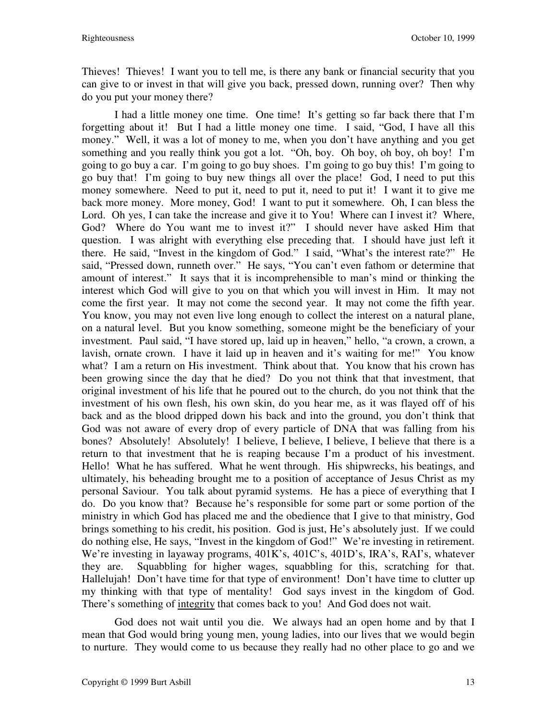Thieves! Thieves! I want you to tell me, is there any bank or financial security that you can give to or invest in that will give you back, pressed down, running over? Then why do you put your money there?

I had a little money one time. One time! It's getting so far back there that I'm forgetting about it! But I had a little money one time. I said, "God, I have all this money." Well, it was a lot of money to me, when you don't have anything and you get something and you really think you got a lot. "Oh, boy. Oh boy, oh boy, oh boy! I'm going to go buy a car. I'm going to go buy shoes. I'm going to go buy this! I'm going to go buy that! I'm going to buy new things all over the place! God, I need to put this money somewhere. Need to put it, need to put it, need to put it! I want it to give me back more money. More money, God! I want to put it somewhere. Oh, I can bless the Lord. Oh yes, I can take the increase and give it to You! Where can I invest it? Where, God? Where do You want me to invest it?" I should never have asked Him that question. I was alright with everything else preceding that. I should have just left it there. He said, "Invest in the kingdom of God." I said, "What's the interest rate?" He said, "Pressed down, runneth over." He says, "You can't even fathom or determine that amount of interest." It says that it is incomprehensible to man's mind or thinking the interest which God will give to you on that which you will invest in Him. It may not come the first year. It may not come the second year. It may not come the fifth year. You know, you may not even live long enough to collect the interest on a natural plane, on a natural level. But you know something, someone might be the beneficiary of your investment. Paul said, "I have stored up, laid up in heaven," hello, "a crown, a crown, a lavish, ornate crown. I have it laid up in heaven and it's waiting for me!" You know what? I am a return on His investment. Think about that. You know that his crown has been growing since the day that he died? Do you not think that that investment, that original investment of his life that he poured out to the church, do you not think that the investment of his own flesh, his own skin, do you hear me, as it was flayed off of his back and as the blood dripped down his back and into the ground, you don't think that God was not aware of every drop of every particle of DNA that was falling from his bones? Absolutely! Absolutely! I believe, I believe, I believe, I believe that there is a return to that investment that he is reaping because I'm a product of his investment. Hello! What he has suffered. What he went through. His shipwrecks, his beatings, and ultimately, his beheading brought me to a position of acceptance of Jesus Christ as my personal Saviour. You talk about pyramid systems. He has a piece of everything that I do. Do you know that? Because he's responsible for some part or some portion of the ministry in which God has placed me and the obedience that I give to that ministry, God brings something to his credit, his position. God is just, He's absolutely just. If we could do nothing else, He says, "Invest in the kingdom of God!" We're investing in retirement. We're investing in layaway programs, 401K's, 401C's, 401D's, IRA's, RAI's, whatever they are. Squabbling for higher wages, squabbling for this, scratching for that. Hallelujah! Don't have time for that type of environment! Don't have time to clutter up my thinking with that type of mentality! God says invest in the kingdom of God. There's something of integrity that comes back to you! And God does not wait.

God does not wait until you die. We always had an open home and by that I mean that God would bring young men, young ladies, into our lives that we would begin to nurture. They would come to us because they really had no other place to go and we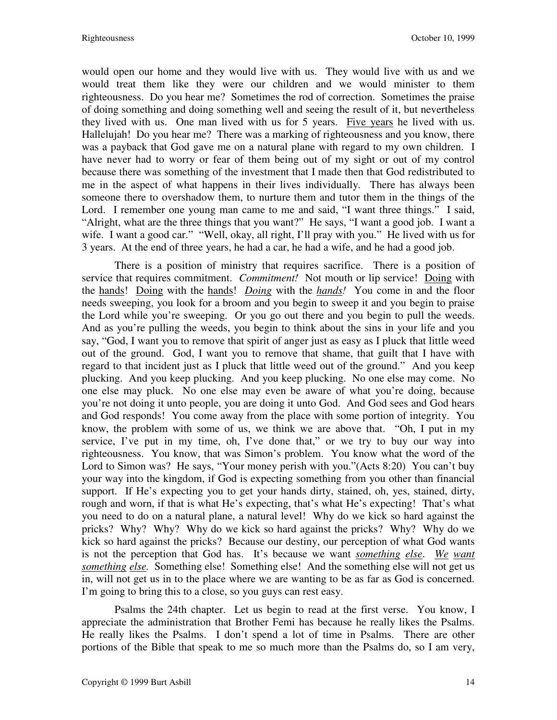would open our home and they would live with us. They would live with us and we would treat them like they were our children and we would minister to them righteousness. Do you hear me? Sometimes the rod of correction. Sometimes the praise of doing something and doing something well and seeing the result of it, but nevertheless they lived with us. One man lived with us for 5 years. Five years he lived with us. Hallelujah! Do you hear me? There was a marking of righteousness and you know, there was a payback that God gave me on a natural plane with regard to my own children. I have never had to worry or fear of them being out of my sight or out of my control because there was something of the investment that I made then that God redistributed to me in the aspect of what happens in their lives individually. There has always been someone there to overshadow them, to nurture them and tutor them in the things of the Lord. I remember one young man came to me and said, "I want three things." I said, "Alright, what are the three things that you want?" He says, "I want a good job. I want a wife. I want a good car." "Well, okay, all right, I'll pray with you." He lived with us for 3 years. At the end of three years, he had a car, he had a wife, and he had a good job.

There is a position of ministry that requires sacrifice. There is a position of service that requires commitment. *Commitment!* Not mouth or lip service! Doing with the hands! Doing with the hands! *Doing* with the *hands!* You come in and the floor needs sweeping, you look for a broom and you begin to sweep it and you begin to praise the Lord while you're sweeping. Or you go out there and you begin to pull the weeds. And as you're pulling the weeds, you begin to think about the sins in your life and you say, "God, I want you to remove that spirit of anger just as easy as I pluck that little weed out of the ground. God, I want you to remove that shame, that guilt that I have with regard to that incident just as I pluck that little weed out of the ground." And you keep plucking. And you keep plucking. And you keep plucking. No one else may come. No one else may pluck. No one else may even be aware of what you're doing, because you're not doing it unto people, you are doing it unto God. And God sees and God hears and God responds! You come away from the place with some portion of integrity. You know, the problem with some of us, we think we are above that. "Oh, I put in my service, I've put in my time, oh, I've done that," or we try to buy our way into righteousness. You know, that was Simon's problem. You know what the word of the Lord to Simon was? He says, "Your money perish with you."(Acts 8:20) You can't buy your way into the kingdom, if God is expecting something from you other than financial support. If He's expecting you to get your hands dirty, stained, oh, yes, stained, dirty, rough and worn, if that is what He's expecting, that's what He's expecting! That's what you need to do on a natural plane, a natural level! Why do we kick so hard against the pricks? Why? Why? Why do we kick so hard against the pricks? Why? Why do we kick so hard against the pricks? Because our destiny, our perception of what God wants is not the perception that God has. It's because we want *something else*. *We want something else.* Something else! Something else! And the something else will not get us in, will not get us in to the place where we are wanting to be as far as God is concerned. I'm going to bring this to a close, so you guys can rest easy.

Psalms the 24th chapter. Let us begin to read at the first verse. You know, I appreciate the administration that Brother Femi has because he really likes the Psalms. He really likes the Psalms. I don't spend a lot of time in Psalms. There are other portions of the Bible that speak to me so much more than the Psalms do, so I am very,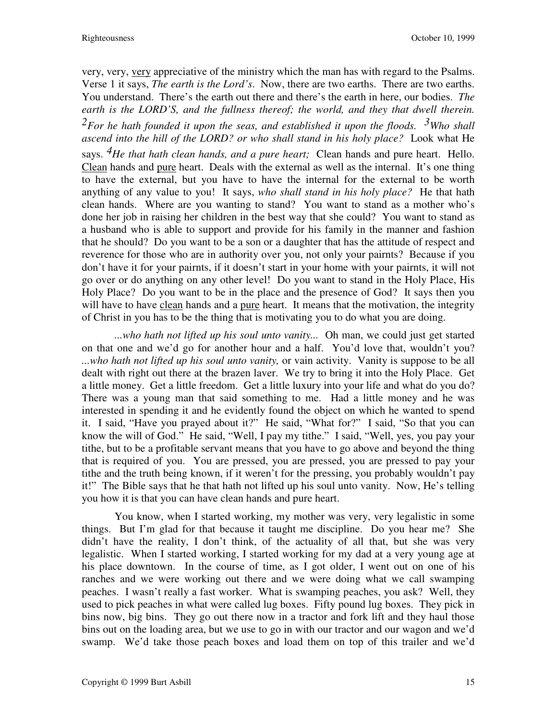very, very, very appreciative of the ministry which the man has with regard to the Psalms. Verse 1 it says, *The earth is the Lord's*. Now, there are two earths. There are two earths. You understand. There's the earth out there and there's the earth in here, our bodies. *The earth is the LORD'S, and the fullness thereof; the world, and they that dwell therein. 2For he hath founded it upon the seas, and established it upon the floods. 3Who shall ascend into the hill of the LORD? or who shall stand in his holy place?* Look what He says. *4He that hath clean hands, and a pure heart;* Clean hands and pure heart. Hello. Clean hands and pure heart. Deals with the external as well as the internal. It's one thing to have the external, but you have to have the internal for the external to be worth anything of any value to you! It says, *who shall stand in his holy place?* He that hath clean hands. Where are you wanting to stand? You want to stand as a mother who's done her job in raising her children in the best way that she could? You want to stand as a husband who is able to support and provide for his family in the manner and fashion that he should? Do you want to be a son or a daughter that has the attitude of respect and reverence for those who are in authority over you, not only your pairnts? Because if you don't have it for your pairnts, if it doesn't start in your home with your pairnts, it will not go over or do anything on any other level! Do you want to stand in the Holy Place, His Holy Place? Do you want to be in the place and the presence of God? It says then you will have to have clean hands and a pure heart. It means that the motivation, the integrity of Christ in you has to be the thing that is motivating you to do what you are doing.

*...who hath not lifted up his soul unto vanity...* Oh man, we could just get started on that one and we'd go for another hour and a half. You'd love that, wouldn't you? *...who hath not lifted up his soul unto vanity,* or vain activity. Vanity is suppose to be all dealt with right out there at the brazen laver. We try to bring it into the Holy Place. Get a little money. Get a little freedom. Get a little luxury into your life and what do you do? There was a young man that said something to me. Had a little money and he was interested in spending it and he evidently found the object on which he wanted to spend it. I said, "Have you prayed about it?" He said, "What for?" I said, "So that you can know the will of God." He said, "Well, I pay my tithe." I said, "Well, yes, you pay your tithe, but to be a profitable servant means that you have to go above and beyond the thing that is required of you. You are pressed, you are pressed, you are pressed to pay your tithe and the truth being known, if it weren't for the pressing, you probably wouldn't pay it!" The Bible says that he that hath not lifted up his soul unto vanity. Now, He's telling you how it is that you can have clean hands and pure heart.

You know, when I started working, my mother was very, very legalistic in some things. But I'm glad for that because it taught me discipline. Do you hear me? She didn't have the reality, I don't think, of the actuality of all that, but she was very legalistic. When I started working, I started working for my dad at a very young age at his place downtown. In the course of time, as I got older, I went out on one of his ranches and we were working out there and we were doing what we call swamping peaches. I wasn't really a fast worker. What is swamping peaches, you ask? Well, they used to pick peaches in what were called lug boxes. Fifty pound lug boxes. They pick in bins now, big bins. They go out there now in a tractor and fork lift and they haul those bins out on the loading area, but we use to go in with our tractor and our wagon and we'd swamp. We'd take those peach boxes and load them on top of this trailer and we'd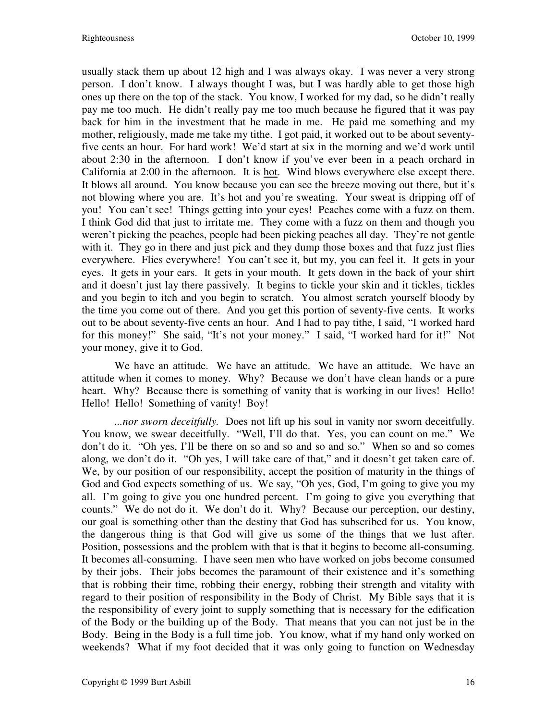usually stack them up about 12 high and I was always okay. I was never a very strong person. I don't know. I always thought I was, but I was hardly able to get those high ones up there on the top of the stack. You know, I worked for my dad, so he didn't really pay me too much. He didn't really pay me too much because he figured that it was pay back for him in the investment that he made in me. He paid me something and my mother, religiously, made me take my tithe. I got paid, it worked out to be about seventyfive cents an hour. For hard work! We'd start at six in the morning and we'd work until about 2:30 in the afternoon. I don't know if you've ever been in a peach orchard in California at 2:00 in the afternoon. It is hot. Wind blows everywhere else except there. It blows all around. You know because you can see the breeze moving out there, but it's not blowing where you are. It's hot and you're sweating. Your sweat is dripping off of you! You can't see! Things getting into your eyes! Peaches come with a fuzz on them. I think God did that just to irritate me. They come with a fuzz on them and though you weren't picking the peaches, people had been picking peaches all day. They're not gentle with it. They go in there and just pick and they dump those boxes and that fuzz just flies everywhere. Flies everywhere! You can't see it, but my, you can feel it. It gets in your eyes. It gets in your ears. It gets in your mouth. It gets down in the back of your shirt and it doesn't just lay there passively. It begins to tickle your skin and it tickles, tickles and you begin to itch and you begin to scratch. You almost scratch yourself bloody by the time you come out of there. And you get this portion of seventy-five cents. It works out to be about seventy-five cents an hour. And I had to pay tithe, I said, "I worked hard for this money!" She said, "It's not your money." I said, "I worked hard for it!" Not your money, give it to God.

We have an attitude. We have an attitude. We have an attitude. We have an attitude when it comes to money. Why? Because we don't have clean hands or a pure heart. Why? Because there is something of vanity that is working in our lives! Hello! Hello! Hello! Something of vanity! Boy!

*...nor sworn deceitfully.* Does not lift up his soul in vanity nor sworn deceitfully. You know, we swear deceitfully. "Well, I'll do that. Yes, you can count on me." We don't do it. "Oh yes, I'll be there on so and so and so and so." When so and so comes along, we don't do it. "Oh yes, I will take care of that," and it doesn't get taken care of. We, by our position of our responsibility, accept the position of maturity in the things of God and God expects something of us. We say, "Oh yes, God, I'm going to give you my all. I'm going to give you one hundred percent. I'm going to give you everything that counts." We do not do it. We don't do it. Why? Because our perception, our destiny, our goal is something other than the destiny that God has subscribed for us. You know, the dangerous thing is that God will give us some of the things that we lust after. Position, possessions and the problem with that is that it begins to become all-consuming. It becomes all-consuming. I have seen men who have worked on jobs become consumed by their jobs. Their jobs becomes the paramount of their existence and it's something that is robbing their time, robbing their energy, robbing their strength and vitality with regard to their position of responsibility in the Body of Christ. My Bible says that it is the responsibility of every joint to supply something that is necessary for the edification of the Body or the building up of the Body. That means that you can not just be in the Body. Being in the Body is a full time job. You know, what if my hand only worked on weekends? What if my foot decided that it was only going to function on Wednesday